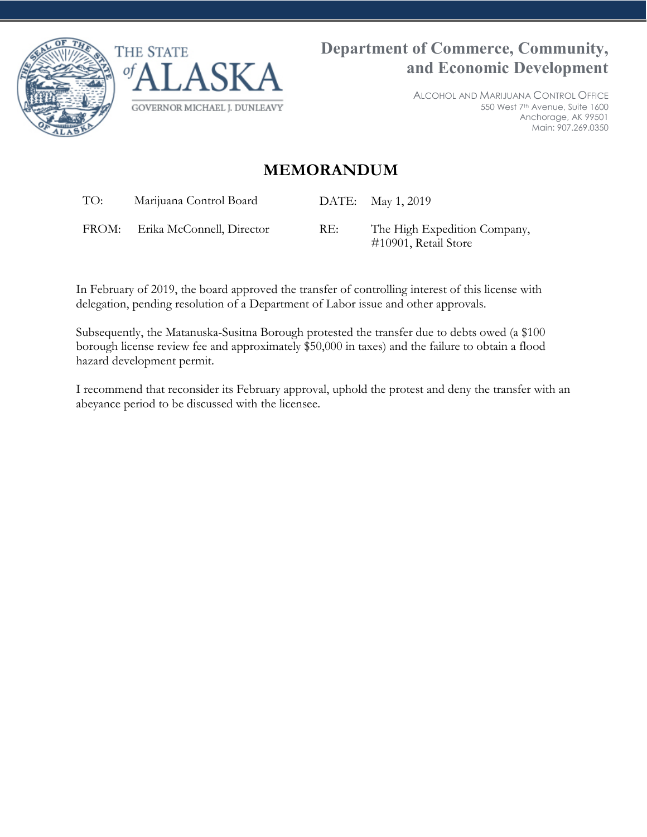



ALCOHOL AND MARIJUANA CONTROL OFFICE 550 West 7th Avenue, Suite 1600 Anchorage, AK 99501 Main: 907.269.0350

# **MEMORANDUM**

TO: Marijuana Control Board DATE: May 1, 2019

FROM: Erika McConnell, Director RE: The High Expedition Company, #10901, Retail Store

In February of 2019, the board approved the transfer of controlling interest of this license with delegation, pending resolution of a Department of Labor issue and other approvals.

Subsequently, the Matanuska-Susitna Borough protested the transfer due to debts owed (a \$100 borough license review fee and approximately \$50,000 in taxes) and the failure to obtain a flood hazard development permit.

I recommend that reconsider its February approval, uphold the protest and deny the transfer with an abeyance period to be discussed with the licensee.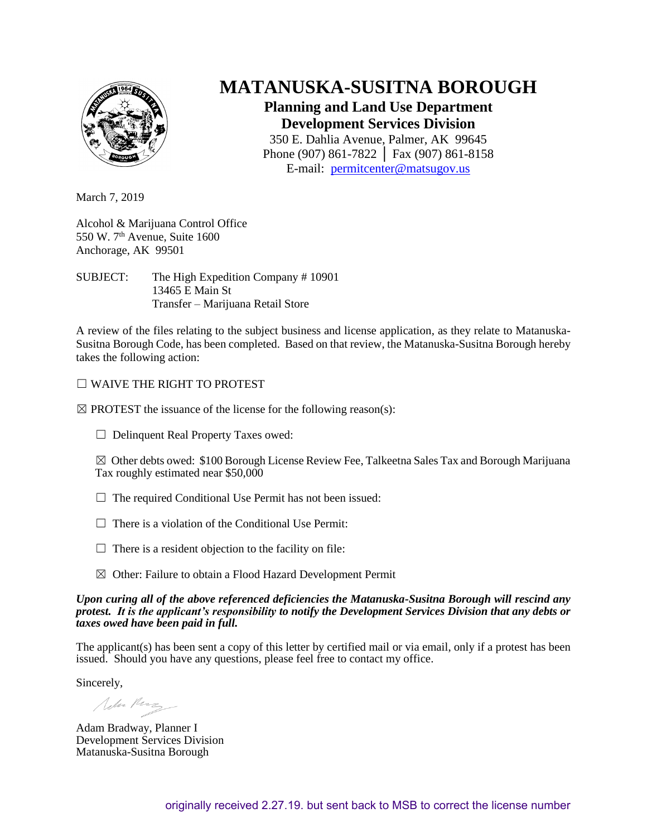

# **MATANUSKA-SUSITNA BOROUGH**

## **Planning and Land Use Department Development Services Division**

350 E. Dahlia Avenue, Palmer, AK 99645 Phone (907) 861-7822 │ Fax (907) 861-8158 E-mail: [permitcenter@matsugov.us](mailto:permitcenter@matsugov.us)

March 7, 2019

Alcohol & Marijuana Control Office 550 W. 7<sup>th</sup> Avenue, Suite 1600 Anchorage, AK 99501

SUBJECT: The High Expedition Company # 10901 13465 E Main St Transfer – Marijuana Retail Store

A review of the files relating to the subject business and license application, as they relate to Matanuska-Susitna Borough Code, has been completed. Based on that review, the Matanuska-Susitna Borough hereby takes the following action:

## ☐ WAIVE THE RIGHT TO PROTEST

 $\boxtimes$  PROTEST the issuance of the license for the following reason(s):

☐ Delinquent Real Property Taxes owed:

 $\boxtimes$  Other debts owed: \$100 Borough License Review Fee, Talkeetna Sales Tax and Borough Marijuana Tax roughly estimated near \$50,000

- $\Box$  The required Conditional Use Permit has not been issued:
- $\Box$  There is a violation of the Conditional Use Permit:
- $\Box$  There is a resident objection to the facility on file:
- ☒ Other: Failure to obtain a Flood Hazard Development Permit

### *Upon curing all of the above referenced deficiencies the Matanuska-Susitna Borough will rescind any protest. It is the applicant's responsibility to notify the Development Services Division that any debts or taxes owed have been paid in full.*

The applicant(s) has been sent a copy of this letter by certified mail or via email, only if a protest has been issued. Should you have any questions, please feel free to contact my office.

Sincerely,

Noter Perz

Adam Bradway, Planner I Development Services Division Matanuska-Susitna Borough